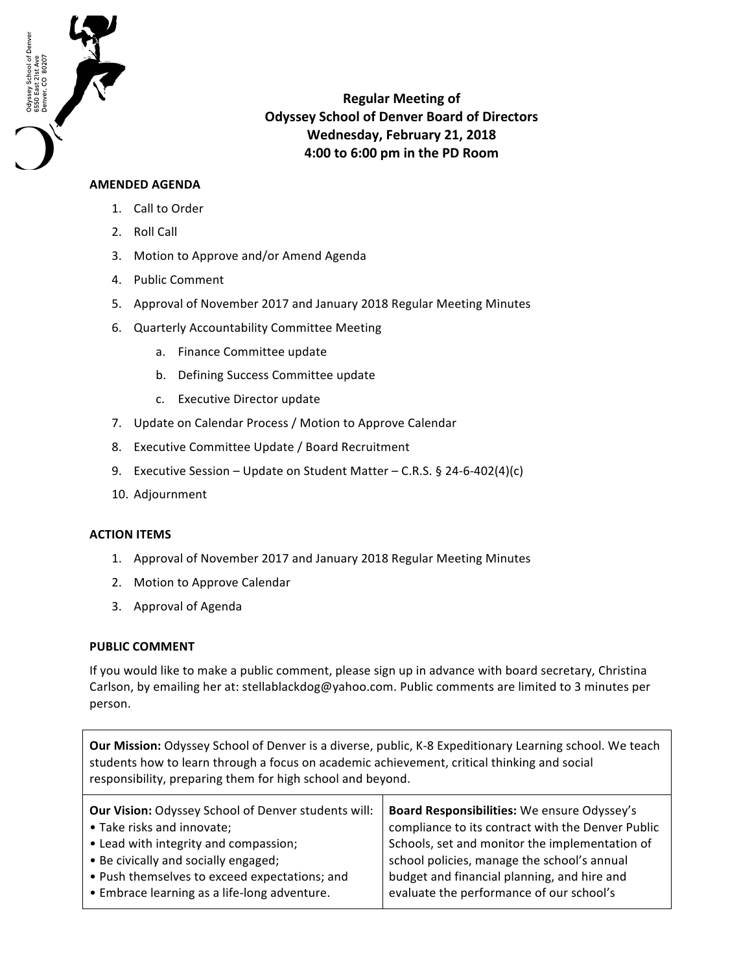

**Regular Meeting of Odyssey School of Denver Board of Directors Wednesday, February 21, 2018 4:00 to 6:00 pm in the PD Room**

## **AMENDED AGENDA**

- 1. Call to Order
- 2. Roll Call
- 3. Motion to Approve and/or Amend Agenda
- 4. Public Comment
- 5. Approval of November 2017 and January 2018 Regular Meeting Minutes
- 6. Quarterly Accountability Committee Meeting
	- a. Finance Committee update
	- b. Defining Success Committee update
	- c. Executive Director update
- 7. Update on Calendar Process / Motion to Approve Calendar
- 8. Executive Committee Update / Board Recruitment
- 9. Executive Session Update on Student Matter C.R.S.  $\S$  24-6-402(4)(c)
- 10. Adjournment

## **ACTION ITEMS**

- 1. Approval of November 2017 and January 2018 Regular Meeting Minutes
- 2. Motion to Approve Calendar
- 3. Approval of Agenda

## **PUBLIC COMMENT**

If you would like to make a public comment, please sign up in advance with board secretary, Christina Carlson, by emailing her at: stellablackdog@yahoo.com. Public comments are limited to 3 minutes per person.

**Our Mission:** Odyssey School of Denver is a diverse, public, K-8 Expeditionary Learning school. We teach students how to learn through a focus on academic achievement, critical thinking and social responsibility, preparing them for high school and beyond.

| Board Responsibilities: We ensure Odyssey's<br>compliance to its contract with the Denver Public<br>Schools, set and monitor the implementation of<br>school policies, manage the school's annual<br>budget and financial planning, and hire and |
|--------------------------------------------------------------------------------------------------------------------------------------------------------------------------------------------------------------------------------------------------|
| evaluate the performance of our school's                                                                                                                                                                                                         |
|                                                                                                                                                                                                                                                  |